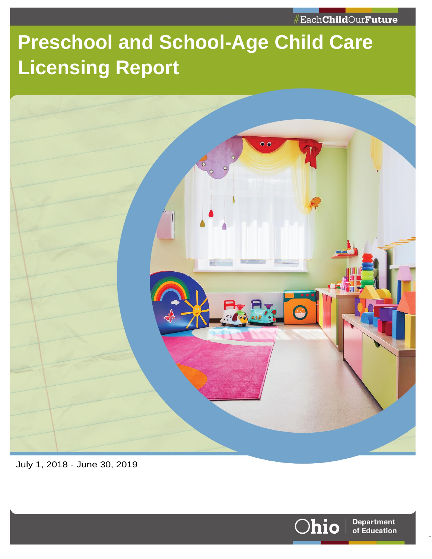## **Preschool and School-Age Child Care Licensing Report**



July 1, 2018 - June 30, 2019

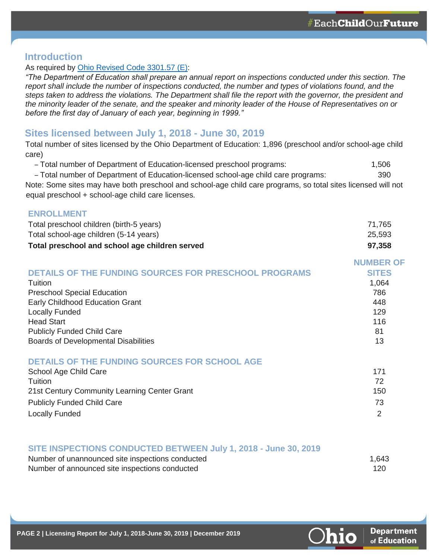**NUMBER OF** 

**Department** of Education

#### **Introduction**

#### As required by [Ohio Revised Code 3301.57 \(E\):](http://codes.ohio.gov/orc/3301.57)

*"The Department of Education shall prepare an annual report on inspections conducted under this section. The report shall include the number of inspections conducted, the number and types of violations found, and the steps taken to address the violations. The Department shall file the report with the governor, the president and the minority leader of the senate, and the speaker and minority leader of the House of Representatives on or before the first day of January of each year, beginning in 1999."*

#### **Sites licensed between July 1, 2018 - June 30, 2019**

Total number of sites licensed by the Ohio Department of Education: 1,896 (preschool and/or school-age child care)

– Total number of Department of Education-licensed preschool programs: 1,506

– Total number of Department of Education-licensed school-age child care programs: 390 Note: Some sites may have both preschool and school-age child care programs, so total sites licensed will not equal preschool + school-age child care licenses.

#### **ENROLLMENT**

| Total preschool children (birth-5 years)       | 71,765 |
|------------------------------------------------|--------|
| Total school-age children (5-14 years)         | 25,593 |
| Total preschool and school age children served | 97,358 |

|                                                              | NUMBER OF    |
|--------------------------------------------------------------|--------------|
| <b>DETAILS OF THE FUNDING SOURCES FOR PRESCHOOL PROGRAMS</b> | <b>SITES</b> |
| Tuition                                                      | 1,064        |
| <b>Preschool Special Education</b>                           | 786          |
| Early Childhood Education Grant                              | 448          |
| <b>Locally Funded</b>                                        | 129          |
| <b>Head Start</b>                                            | 116          |
| <b>Publicly Funded Child Care</b>                            | 81           |
| <b>Boards of Developmental Disabilities</b>                  | 13           |
|                                                              |              |
|                                                              |              |

#### **DETAILS OF THE FUNDING SOURCES FOR SCHOOL AGE**

| School Age Child Care                        | 171 |
|----------------------------------------------|-----|
| Tuition                                      |     |
| 21st Century Community Learning Center Grant | 150 |
| <b>Publicly Funded Child Care</b>            |     |
| <b>Locally Funded</b>                        |     |

#### **SITE INSPECTIONS CONDUCTED BETWEEN July 1, 2018 - June 30, 2019**

| Number of unannounced site inspections conducted | 1,643 |
|--------------------------------------------------|-------|
| Number of announced site inspections conducted   | 120   |

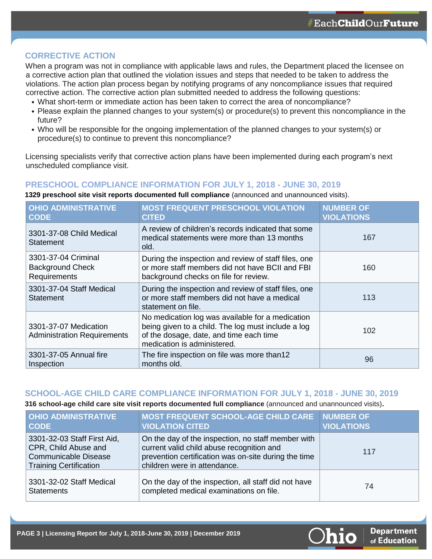**Department** of Education

#### **CORRECTIVE ACTION**

When a program was not in compliance with applicable laws and rules, the Department placed the licensee on a corrective action plan that outlined the violation issues and steps that needed to be taken to address the violations. The action plan process began by notifying programs of any noncompliance issues that required corrective action. The corrective action plan submitted needed to address the following questions:

- What short-term or immediate action has been taken to correct the area of noncompliance?
- Please explain the planned changes to your system(s) or procedure(s) to prevent this noncompliance in the future?
- Who will be responsible for the ongoing implementation of the planned changes to your system(s) or procedure(s) to continue to prevent this noncompliance?

Licensing specialists verify that corrective action plans have been implemented during each program's next unscheduled compliance visit.

#### **PRESCHOOL COMPLIANCE INFORMATION FOR JULY 1, 2018 - JUNE 30, 2019**

**1329 preschool site visit reports documented full compliance** (announced and unannounced visits).

| <b>OHIO ADMINISTRATIVE</b><br><b>CODE</b>                      | <b>MOST FREQUENT PRESCHOOL VIOLATION</b><br><b>CITED</b>                                                                                                                         | <b>NUMBER OF</b><br><b>VIOLATIONS</b> |
|----------------------------------------------------------------|----------------------------------------------------------------------------------------------------------------------------------------------------------------------------------|---------------------------------------|
| 3301-37-08 Child Medical<br>Statement                          | A review of children's records indicated that some<br>medical statements were more than 13 months<br>old.                                                                        | 167                                   |
| 3301-37-04 Criminal<br><b>Background Check</b><br>Requirements | During the inspection and review of staff files, one<br>or more staff members did not have BCII and FBI<br>background checks on file for review.                                 | 160                                   |
| 3301-37-04 Staff Medical<br>Statement                          | During the inspection and review of staff files, one<br>or more staff members did not have a medical<br>statement on file.                                                       | 113                                   |
| 3301-37-07 Medication<br><b>Administration Requirements</b>    | No medication log was available for a medication<br>being given to a child. The log must include a log<br>of the dosage, date, and time each time<br>medication is administered. | 102                                   |
| 3301-37-05 Annual fire<br>Inspection                           | The fire inspection on file was more than12<br>months old.                                                                                                                       | 96                                    |

#### **SCHOOL-AGE CHILD CARE COMPLIANCE INFORMATION FOR JULY 1, 2018 - JUNE 30, 2019**

**316 school-age child care site visit reports documented full compliance** (announced and unannounced visits)**.**

| <b>OHIO ADMINISTRATIVE</b><br><b>CODE</b>                                                                           | <b>MOST FREQUENT SCHOOL-AGE CHILD CARE NUMBER OF</b><br><b>VIOLATION CITED</b>                                                                                                          | <b>VIOLATIONS</b> |
|---------------------------------------------------------------------------------------------------------------------|-----------------------------------------------------------------------------------------------------------------------------------------------------------------------------------------|-------------------|
| 3301-32-03 Staff First Aid,<br>CPR, Child Abuse and<br><b>Communicable Disease</b><br><b>Training Certification</b> | On the day of the inspection, no staff member with<br>current valid child abuse recognition and<br>prevention certification was on-site during the time<br>children were in attendance. | 117               |
| 3301-32-02 Staff Medical<br><b>Statements</b>                                                                       | On the day of the inspection, all staff did not have<br>completed medical examinations on file.                                                                                         | 74                |

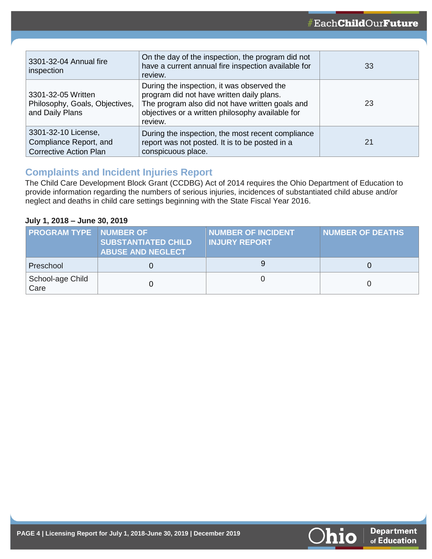| 3301-32-04 Annual fire<br>inspection                                           | On the day of the inspection, the program did not<br>have a current annual fire inspection available for<br>review.                                                                                       | 33 |
|--------------------------------------------------------------------------------|-----------------------------------------------------------------------------------------------------------------------------------------------------------------------------------------------------------|----|
| 3301-32-05 Written<br>Philosophy, Goals, Objectives,<br>and Daily Plans        | During the inspection, it was observed the<br>program did not have written daily plans.<br>The program also did not have written goals and<br>objectives or a written philosophy available for<br>review. | 23 |
| 3301-32-10 License,<br>Compliance Report, and<br><b>Corrective Action Plan</b> | During the inspection, the most recent compliance<br>report was not posted. It is to be posted in a<br>conspicuous place.                                                                                 | 21 |

### **Complaints and Incident Injuries Report**

The Child Care Development Block Grant (CCDBG) Act of 2014 requires the Ohio Department of Education to provide information regarding the numbers of serious injuries, incidences of substantiated child abuse and/or neglect and deaths in child care settings beginning with the State Fiscal Year 2016.

#### **July 1, 2018 – June 30, 2019**

| <b>PROGRAM TYPE NUMBER OF</b> | <b>SUBSTANTIATED CHILD</b><br><b>ABUSE AND NEGLECT</b> | <b>NUMBER OF INCIDENT</b><br><b>INJURY REPORT</b> | <b>NUMBER OF DEATHS</b> |
|-------------------------------|--------------------------------------------------------|---------------------------------------------------|-------------------------|
| Preschool                     |                                                        |                                                   |                         |
| School-age Child<br>Care      |                                                        |                                                   |                         |

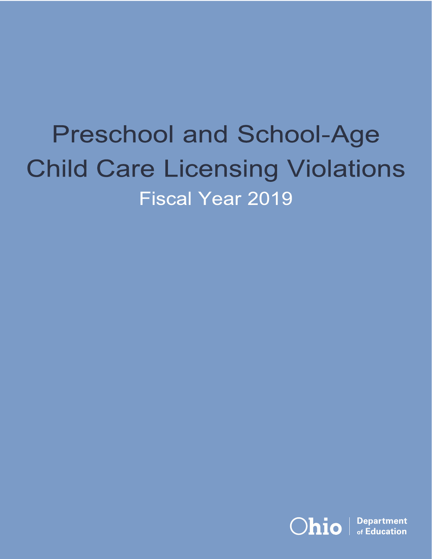# **Preschool and School-Age Child Care Licensing Violations Fiscal Year 2019**

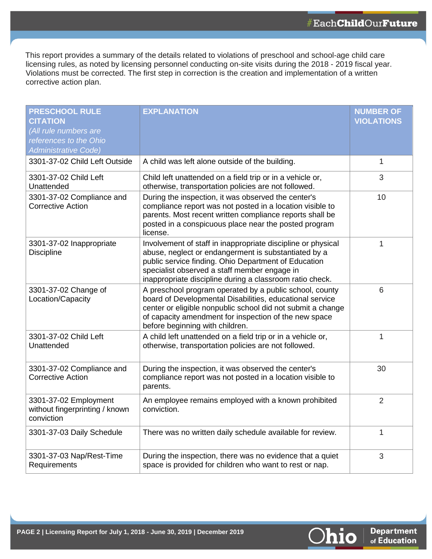This report provides a summary of the details related to violations of preschool and school-age child care licensing rules, as noted by licensing personnel conducting on-site visits during the 2018 - 2019 fiscal year. Violations must be corrected. The first step in correction is the creation and implementation of a written corrective action plan.

| <b>PRESCHOOL RULE</b><br><b>CITATION</b><br>(All rule numbers are<br>references to the Ohio<br><b>Administrative Code)</b> | <b>EXPLANATION</b>                                                                                                                                                                                                                                                                       | <b>NUMBER OF</b><br><b>VIOLATIONS</b> |
|----------------------------------------------------------------------------------------------------------------------------|------------------------------------------------------------------------------------------------------------------------------------------------------------------------------------------------------------------------------------------------------------------------------------------|---------------------------------------|
| 3301-37-02 Child Left Outside                                                                                              | A child was left alone outside of the building.                                                                                                                                                                                                                                          | 1                                     |
| 3301-37-02 Child Left<br>Unattended                                                                                        | Child left unattended on a field trip or in a vehicle or,<br>otherwise, transportation policies are not followed.                                                                                                                                                                        | 3                                     |
| 3301-37-02 Compliance and<br><b>Corrective Action</b>                                                                      | During the inspection, it was observed the center's<br>compliance report was not posted in a location visible to<br>parents. Most recent written compliance reports shall be<br>posted in a conspicuous place near the posted program<br>license.                                        | 10                                    |
| 3301-37-02 Inappropriate<br><b>Discipline</b>                                                                              | Involvement of staff in inappropriate discipline or physical<br>abuse, neglect or endangerment is substantiated by a<br>public service finding. Ohio Department of Education<br>specialist observed a staff member engage in<br>inappropriate discipline during a classroom ratio check. | 1                                     |
| 3301-37-02 Change of<br>Location/Capacity                                                                                  | A preschool program operated by a public school, county<br>board of Developmental Disabilities, educational service<br>center or eligible nonpublic school did not submit a change<br>of capacity amendment for inspection of the new space<br>before beginning with children.           | 6                                     |
| 3301-37-02 Child Left<br>Unattended                                                                                        | A child left unattended on a field trip or in a vehicle or,<br>otherwise, transportation policies are not followed.                                                                                                                                                                      | 1                                     |
| 3301-37-02 Compliance and<br><b>Corrective Action</b>                                                                      | During the inspection, it was observed the center's<br>compliance report was not posted in a location visible to<br>parents.                                                                                                                                                             | 30                                    |
| 3301-37-02 Employment<br>without fingerprinting / known<br>conviction                                                      | An employee remains employed with a known prohibited<br>conviction.                                                                                                                                                                                                                      | $\overline{2}$                        |
| 3301-37-03 Daily Schedule                                                                                                  | There was no written daily schedule available for review.                                                                                                                                                                                                                                | 1                                     |
| 3301-37-03 Nap/Rest-Time<br>Requirements                                                                                   | During the inspection, there was no evidence that a quiet<br>space is provided for children who want to rest or nap.                                                                                                                                                                     | 3                                     |

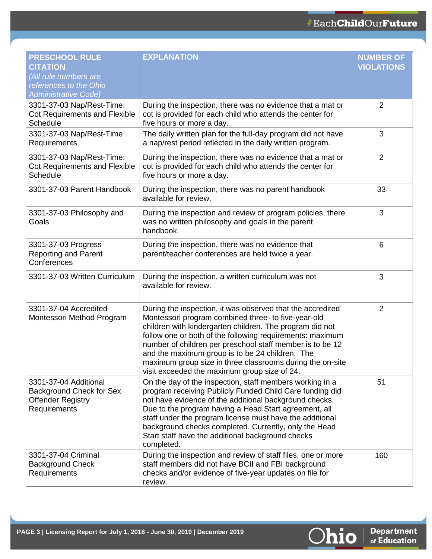| <b>PRESCHOOL RULE</b><br><b>CITATION</b><br>(All rule numbers are<br>references to the Ohio<br><b>Administrative Code)</b> | <b>EXPLANATION</b>                                                                                                                                                                                                                                                                                                                                                                                                                                                      | <b>NUMBER OF</b><br><b>VIOLATIONS</b> |
|----------------------------------------------------------------------------------------------------------------------------|-------------------------------------------------------------------------------------------------------------------------------------------------------------------------------------------------------------------------------------------------------------------------------------------------------------------------------------------------------------------------------------------------------------------------------------------------------------------------|---------------------------------------|
| 3301-37-03 Nap/Rest-Time:<br>Cot Requirements and Flexible<br>Schedule                                                     | During the inspection, there was no evidence that a mat or<br>cot is provided for each child who attends the center for<br>five hours or more a day.                                                                                                                                                                                                                                                                                                                    | 2                                     |
| 3301-37-03 Nap/Rest-Time<br>Requirements                                                                                   | The daily written plan for the full-day program did not have<br>a nap/rest period reflected in the daily written program.                                                                                                                                                                                                                                                                                                                                               | 3                                     |
| 3301-37-03 Nap/Rest-Time:<br><b>Cot Requirements and Flexible</b><br>Schedule                                              | During the inspection, there was no evidence that a mat or<br>cot is provided for each child who attends the center for<br>five hours or more a day.                                                                                                                                                                                                                                                                                                                    | 2                                     |
| 3301-37-03 Parent Handbook                                                                                                 | During the inspection, there was no parent handbook<br>available for review.                                                                                                                                                                                                                                                                                                                                                                                            | 33                                    |
| 3301-37-03 Philosophy and<br>Goals                                                                                         | During the inspection and review of program policies, there<br>was no written philosophy and goals in the parent<br>handbook.                                                                                                                                                                                                                                                                                                                                           | 3                                     |
| 3301-37-03 Progress<br><b>Reporting and Parent</b><br>Conferences                                                          | During the inspection, there was no evidence that<br>parent/teacher conferences are held twice a year.                                                                                                                                                                                                                                                                                                                                                                  | $6\phantom{1}6$                       |
| 3301-37-03 Written Curriculum                                                                                              | During the inspection, a written curriculum was not<br>available for review.                                                                                                                                                                                                                                                                                                                                                                                            | 3                                     |
| 3301-37-04 Accredited<br>Montessori Method Program                                                                         | During the inspection, it was observed that the accredited<br>Montessori program combined three- to five-year-old<br>children with kindergarten children. The program did not<br>follow one or both of the following requirements: maximum<br>number of children per preschool staff member is to be 12<br>and the maximum group is to be 24 children. The<br>maximum group size in three classrooms during the on-site<br>visit exceeded the maximum group size of 24. | $\overline{2}$                        |
| 3301-37-04 Additional<br>Background Check for Sex<br><b>Offender Registry</b><br>Requirements                              | On the day of the inspection, staff members working in a<br>program receiving Publicly Funded Child Care funding did<br>not have evidence of the additional background checks.<br>Due to the program having a Head Start agreement, all<br>staff under the program license must have the additional<br>background checks completed. Currently, only the Head<br>Start staff have the additional background checks<br>completed.                                         | 51                                    |
| 3301-37-04 Criminal<br><b>Background Check</b><br>Requirements                                                             | During the inspection and review of staff files, one or more<br>staff members did not have BCII and FBI background<br>checks and/or evidence of five-year updates on file for<br>review.                                                                                                                                                                                                                                                                                | 160                                   |

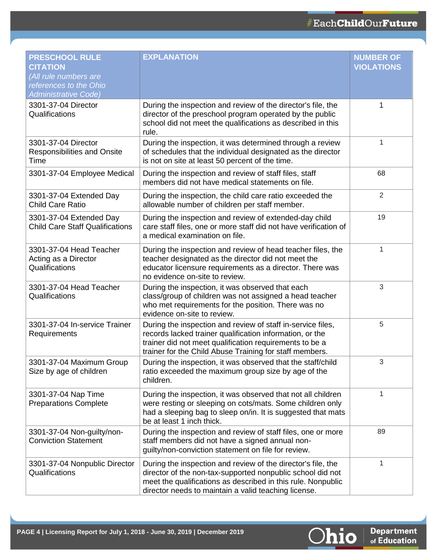| <b>PRESCHOOL RULE</b><br><b>CITATION</b><br>(All rule numbers are<br>references to the Ohio<br><b>Administrative Code)</b> | <b>EXPLANATION</b>                                                                                                                                                                                                                                 | <b>NUMBER OF</b><br><b>VIOLATIONS</b> |
|----------------------------------------------------------------------------------------------------------------------------|----------------------------------------------------------------------------------------------------------------------------------------------------------------------------------------------------------------------------------------------------|---------------------------------------|
| 3301-37-04 Director<br>Qualifications                                                                                      | During the inspection and review of the director's file, the<br>director of the preschool program operated by the public<br>school did not meet the qualifications as described in this<br>rule.                                                   | 1                                     |
| 3301-37-04 Director<br><b>Responsibilities and Onsite</b><br>Time                                                          | During the inspection, it was determined through a review<br>of schedules that the individual designated as the director<br>is not on site at least 50 percent of the time.                                                                        | 1                                     |
| 3301-37-04 Employee Medical                                                                                                | During the inspection and review of staff files, staff<br>members did not have medical statements on file.                                                                                                                                         | 68                                    |
| 3301-37-04 Extended Day<br><b>Child Care Ratio</b>                                                                         | During the inspection, the child care ratio exceeded the<br>allowable number of children per staff member.                                                                                                                                         | $\overline{2}$                        |
| 3301-37-04 Extended Day<br><b>Child Care Staff Qualifications</b>                                                          | During the inspection and review of extended-day child<br>care staff files, one or more staff did not have verification of<br>a medical examination on file.                                                                                       | 19                                    |
| 3301-37-04 Head Teacher<br>Acting as a Director<br>Qualifications                                                          | During the inspection and review of head teacher files, the<br>teacher designated as the director did not meet the<br>educator licensure requirements as a director. There was<br>no evidence on-site to review.                                   | 1                                     |
| 3301-37-04 Head Teacher<br>Qualifications                                                                                  | During the inspection, it was observed that each<br>class/group of children was not assigned a head teacher<br>who met requirements for the position. There was no<br>evidence on-site to review.                                                  | 3                                     |
| 3301-37-04 In-service Trainer<br>Requirements                                                                              | During the inspection and review of staff in-service files,<br>records lacked trainer qualification information, or the<br>trainer did not meet qualification requirements to be a<br>trainer for the Child Abuse Training for staff members.      | 5                                     |
| 3301-37-04 Maximum Group<br>Size by age of children                                                                        | During the inspection, it was observed that the staff/child<br>ratio exceeded the maximum group size by age of the<br>children.                                                                                                                    | 3                                     |
| 3301-37-04 Nap Time<br><b>Preparations Complete</b>                                                                        | During the inspection, it was observed that not all children<br>were resting or sleeping on cots/mats. Some children only<br>had a sleeping bag to sleep on/in. It is suggested that mats<br>be at least 1 inch thick.                             | 1                                     |
| 3301-37-04 Non-guilty/non-<br><b>Conviction Statement</b>                                                                  | During the inspection and review of staff files, one or more<br>staff members did not have a signed annual non-<br>guilty/non-conviction statement on file for review.                                                                             | 89                                    |
| 3301-37-04 Nonpublic Director<br>Qualifications                                                                            | During the inspection and review of the director's file, the<br>director of the non-tax-supported nonpublic school did not<br>meet the qualifications as described in this rule. Nonpublic<br>director needs to maintain a valid teaching license. | 1                                     |

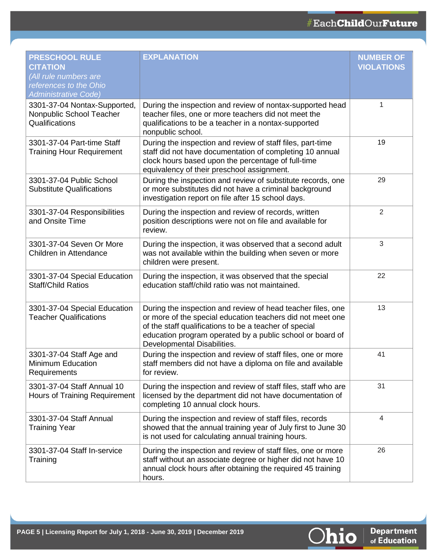| <b>PRESCHOOL RULE</b><br><b>CITATION</b><br>(All rule numbers are<br>references to the Ohio<br><b>Administrative Code)</b> | <b>EXPLANATION</b>                                                                                                                                                                                                                                                              | <b>NUMBER OF</b><br><b>VIOLATIONS</b> |
|----------------------------------------------------------------------------------------------------------------------------|---------------------------------------------------------------------------------------------------------------------------------------------------------------------------------------------------------------------------------------------------------------------------------|---------------------------------------|
| 3301-37-04 Nontax-Supported,<br>Nonpublic School Teacher<br>Qualifications                                                 | During the inspection and review of nontax-supported head<br>teacher files, one or more teachers did not meet the<br>qualifications to be a teacher in a nontax-supported<br>nonpublic school.                                                                                  | 1                                     |
| 3301-37-04 Part-time Staff<br><b>Training Hour Requirement</b>                                                             | During the inspection and review of staff files, part-time<br>staff did not have documentation of completing 10 annual<br>clock hours based upon the percentage of full-time<br>equivalency of their preschool assignment.                                                      | 19                                    |
| 3301-37-04 Public School<br><b>Substitute Qualifications</b>                                                               | During the inspection and review of substitute records, one<br>or more substitutes did not have a criminal background<br>investigation report on file after 15 school days.                                                                                                     | 29                                    |
| 3301-37-04 Responsibilities<br>and Onsite Time                                                                             | During the inspection and review of records, written<br>position descriptions were not on file and available for<br>review.                                                                                                                                                     | $\overline{2}$                        |
| 3301-37-04 Seven Or More<br>Children in Attendance                                                                         | During the inspection, it was observed that a second adult<br>was not available within the building when seven or more<br>children were present.                                                                                                                                | $\sqrt{3}$                            |
| 3301-37-04 Special Education<br><b>Staff/Child Ratios</b>                                                                  | During the inspection, it was observed that the special<br>education staff/child ratio was not maintained.                                                                                                                                                                      | 22                                    |
| 3301-37-04 Special Education<br><b>Teacher Qualifications</b>                                                              | During the inspection and review of head teacher files, one<br>or more of the special education teachers did not meet one<br>of the staff qualifications to be a teacher of special<br>education program operated by a public school or board of<br>Developmental Disabilities. | 13                                    |
| 3301-37-04 Staff Age and<br>Minimum Education<br>Requirements                                                              | During the inspection and review of staff files, one or more<br>staff members did not have a diploma on file and available<br>for review.                                                                                                                                       | 41                                    |
| 3301-37-04 Staff Annual 10<br>Hours of Training Requirement                                                                | During the inspection and review of staff files, staff who are<br>licensed by the department did not have documentation of<br>completing 10 annual clock hours.                                                                                                                 | 31                                    |
| 3301-37-04 Staff Annual<br><b>Training Year</b>                                                                            | During the inspection and review of staff files, records<br>showed that the annual training year of July first to June 30<br>is not used for calculating annual training hours.                                                                                                 | 4                                     |
| 3301-37-04 Staff In-service<br>Training                                                                                    | During the inspection and review of staff files, one or more<br>staff without an associate degree or higher did not have 10<br>annual clock hours after obtaining the required 45 training<br>hours.                                                                            | 26                                    |

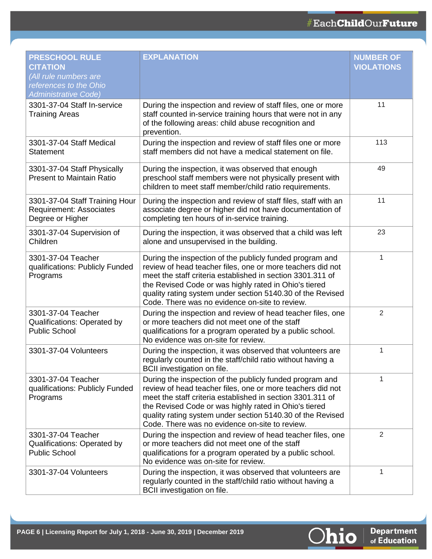| <b>PRESCHOOL RULE</b><br><b>CITATION</b><br>(All rule numbers are<br>references to the Ohio<br><b>Administrative Code)</b> | <b>EXPLANATION</b>                                                                                                                                                                                                                                                                                                                                            | <b>NUMBER OF</b><br><b>VIOLATIONS</b> |
|----------------------------------------------------------------------------------------------------------------------------|---------------------------------------------------------------------------------------------------------------------------------------------------------------------------------------------------------------------------------------------------------------------------------------------------------------------------------------------------------------|---------------------------------------|
| 3301-37-04 Staff In-service<br><b>Training Areas</b>                                                                       | During the inspection and review of staff files, one or more<br>staff counted in-service training hours that were not in any<br>of the following areas: child abuse recognition and<br>prevention.                                                                                                                                                            | 11                                    |
| 3301-37-04 Staff Medical<br><b>Statement</b>                                                                               | During the inspection and review of staff files one or more<br>staff members did not have a medical statement on file.                                                                                                                                                                                                                                        | 113                                   |
| 3301-37-04 Staff Physically<br><b>Present to Maintain Ratio</b>                                                            | During the inspection, it was observed that enough<br>preschool staff members were not physically present with<br>children to meet staff member/child ratio requirements.                                                                                                                                                                                     | 49                                    |
| 3301-37-04 Staff Training Hour<br><b>Requirement: Associates</b><br>Degree or Higher                                       | During the inspection and review of staff files, staff with an<br>associate degree or higher did not have documentation of<br>completing ten hours of in-service training.                                                                                                                                                                                    | 11                                    |
| 3301-37-04 Supervision of<br>Children                                                                                      | During the inspection, it was observed that a child was left<br>alone and unsupervised in the building.                                                                                                                                                                                                                                                       | 23                                    |
| 3301-37-04 Teacher<br>qualifications: Publicly Funded<br>Programs                                                          | During the inspection of the publicly funded program and<br>review of head teacher files, one or more teachers did not<br>meet the staff criteria established in section 3301.311 of<br>the Revised Code or was highly rated in Ohio's tiered<br>quality rating system under section 5140.30 of the Revised<br>Code. There was no evidence on-site to review. | 1                                     |
| 3301-37-04 Teacher<br><b>Qualifications: Operated by</b><br><b>Public School</b>                                           | During the inspection and review of head teacher files, one<br>or more teachers did not meet one of the staff<br>qualifications for a program operated by a public school.<br>No evidence was on-site for review.                                                                                                                                             | $\overline{2}$                        |
| 3301-37-04 Volunteers                                                                                                      | During the inspection, it was observed that volunteers are<br>regularly counted in the staff/child ratio without having a<br><b>BCII</b> investigation on file.                                                                                                                                                                                               | 1                                     |
| 3301-37-04 Teacher<br>qualifications: Publicly Funded<br>Programs                                                          | During the inspection of the publicly funded program and<br>review of head teacher files, one or more teachers did not<br>meet the staff criteria established in section 3301.311 of<br>the Revised Code or was highly rated in Ohio's tiered<br>quality rating system under section 5140.30 of the Revised<br>Code. There was no evidence on-site to review. | 1                                     |
| 3301-37-04 Teacher<br><b>Qualifications: Operated by</b><br><b>Public School</b>                                           | During the inspection and review of head teacher files, one<br>or more teachers did not meet one of the staff<br>qualifications for a program operated by a public school.<br>No evidence was on-site for review.                                                                                                                                             | $\overline{2}$                        |
| 3301-37-04 Volunteers                                                                                                      | During the inspection, it was observed that volunteers are<br>regularly counted in the staff/child ratio without having a<br>BCII investigation on file.                                                                                                                                                                                                      | 1                                     |

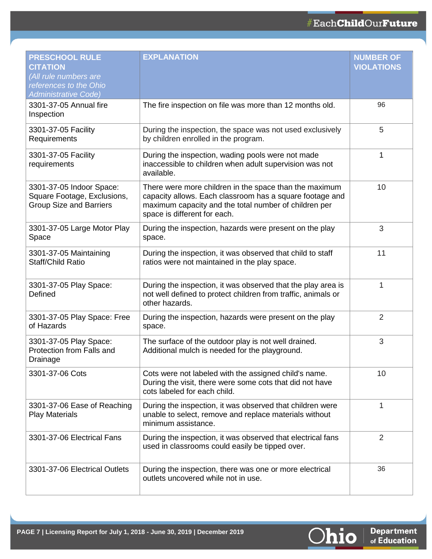| <b>PRESCHOOL RULE</b><br><b>CITATION</b><br>(All rule numbers are<br>references to the Ohio<br><b>Administrative Code)</b> | <b>EXPLANATION</b>                                                                                                                                                                                          | <b>NUMBER OF</b><br><b>VIOLATIONS</b> |
|----------------------------------------------------------------------------------------------------------------------------|-------------------------------------------------------------------------------------------------------------------------------------------------------------------------------------------------------------|---------------------------------------|
| 3301-37-05 Annual fire<br>Inspection                                                                                       | The fire inspection on file was more than 12 months old.                                                                                                                                                    | 96                                    |
| 3301-37-05 Facility<br>Requirements                                                                                        | During the inspection, the space was not used exclusively<br>by children enrolled in the program.                                                                                                           | 5                                     |
| 3301-37-05 Facility<br>requirements                                                                                        | During the inspection, wading pools were not made<br>inaccessible to children when adult supervision was not<br>available.                                                                                  | 1                                     |
| 3301-37-05 Indoor Space:<br>Square Footage, Exclusions,<br><b>Group Size and Barriers</b>                                  | There were more children in the space than the maximum<br>capacity allows. Each classroom has a square footage and<br>maximum capacity and the total number of children per<br>space is different for each. | 10                                    |
| 3301-37-05 Large Motor Play<br>Space                                                                                       | During the inspection, hazards were present on the play<br>space.                                                                                                                                           | 3                                     |
| 3301-37-05 Maintaining<br><b>Staff/Child Ratio</b>                                                                         | During the inspection, it was observed that child to staff<br>ratios were not maintained in the play space.                                                                                                 | 11                                    |
| 3301-37-05 Play Space:<br>Defined                                                                                          | During the inspection, it was observed that the play area is<br>not well defined to protect children from traffic, animals or<br>other hazards.                                                             | 1                                     |
| 3301-37-05 Play Space: Free<br>of Hazards                                                                                  | During the inspection, hazards were present on the play<br>space.                                                                                                                                           | $\overline{2}$                        |
| 3301-37-05 Play Space:<br>Protection from Falls and<br>Drainage                                                            | The surface of the outdoor play is not well drained.<br>Additional mulch is needed for the playground.                                                                                                      | 3                                     |
| 3301-37-06 Cots                                                                                                            | Cots were not labeled with the assigned child's name.<br>During the visit, there were some cots that did not have<br>cots labeled for each child.                                                           | 10                                    |
| 3301-37-06 Ease of Reaching<br><b>Play Materials</b>                                                                       | During the inspection, it was observed that children were<br>unable to select, remove and replace materials without<br>minimum assistance.                                                                  | 1                                     |
| 3301-37-06 Electrical Fans                                                                                                 | During the inspection, it was observed that electrical fans<br>used in classrooms could easily be tipped over.                                                                                              | $\overline{2}$                        |
| 3301-37-06 Electrical Outlets                                                                                              | During the inspection, there was one or more electrical<br>outlets uncovered while not in use.                                                                                                              | 36                                    |

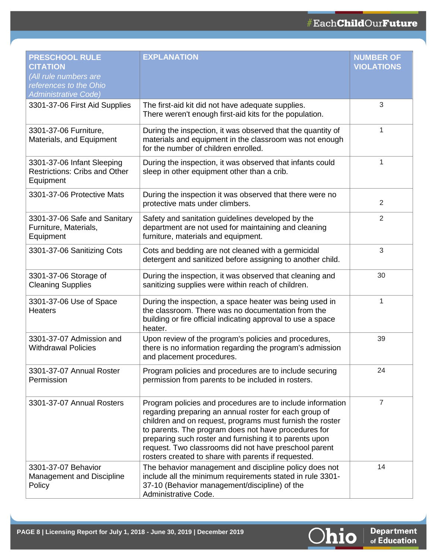| <b>PRESCHOOL RULE</b><br><b>CITATION</b><br>(All rule numbers are<br>references to the Ohio<br><b>Administrative Code)</b> | <b>EXPLANATION</b>                                                                                                                                                                                                                                                                                                                                                                                                   | <b>NUMBER OF</b><br><b>VIOLATIONS</b> |
|----------------------------------------------------------------------------------------------------------------------------|----------------------------------------------------------------------------------------------------------------------------------------------------------------------------------------------------------------------------------------------------------------------------------------------------------------------------------------------------------------------------------------------------------------------|---------------------------------------|
| 3301-37-06 First Aid Supplies                                                                                              | The first-aid kit did not have adequate supplies.<br>There weren't enough first-aid kits for the population.                                                                                                                                                                                                                                                                                                         | 3                                     |
| 3301-37-06 Furniture,<br>Materials, and Equipment                                                                          | During the inspection, it was observed that the quantity of<br>materials and equipment in the classroom was not enough<br>for the number of children enrolled.                                                                                                                                                                                                                                                       | 1                                     |
| 3301-37-06 Infant Sleeping<br><b>Restrictions: Cribs and Other</b><br>Equipment                                            | During the inspection, it was observed that infants could<br>sleep in other equipment other than a crib.                                                                                                                                                                                                                                                                                                             | 1                                     |
| 3301-37-06 Protective Mats                                                                                                 | During the inspection it was observed that there were no<br>protective mats under climbers.                                                                                                                                                                                                                                                                                                                          | 2                                     |
| 3301-37-06 Safe and Sanitary<br>Furniture, Materials,<br>Equipment                                                         | Safety and sanitation guidelines developed by the<br>department are not used for maintaining and cleaning<br>furniture, materials and equipment.                                                                                                                                                                                                                                                                     | 2                                     |
| 3301-37-06 Sanitizing Cots                                                                                                 | Cots and bedding are not cleaned with a germicidal<br>detergent and sanitized before assigning to another child.                                                                                                                                                                                                                                                                                                     | 3                                     |
| 3301-37-06 Storage of<br><b>Cleaning Supplies</b>                                                                          | During the inspection, it was observed that cleaning and<br>sanitizing supplies were within reach of children.                                                                                                                                                                                                                                                                                                       | 30                                    |
| 3301-37-06 Use of Space<br><b>Heaters</b>                                                                                  | During the inspection, a space heater was being used in<br>the classroom. There was no documentation from the<br>building or fire official indicating approval to use a space<br>heater.                                                                                                                                                                                                                             | 1                                     |
| 3301-37-07 Admission and<br><b>Withdrawal Policies</b>                                                                     | Upon review of the program's policies and procedures,<br>there is no information regarding the program's admission<br>and placement procedures.                                                                                                                                                                                                                                                                      | 39                                    |
| 3301-37-07 Annual Roster<br>Permission                                                                                     | Program policies and procedures are to include securing<br>permission from parents to be included in rosters.                                                                                                                                                                                                                                                                                                        | 24                                    |
| 3301-37-07 Annual Rosters                                                                                                  | Program policies and procedures are to include information<br>regarding preparing an annual roster for each group of<br>children and on request, programs must furnish the roster<br>to parents. The program does not have procedures for<br>preparing such roster and furnishing it to parents upon<br>request. Two classrooms did not have preschool parent<br>rosters created to share with parents if requested. | 7                                     |
| 3301-37-07 Behavior<br><b>Management and Discipline</b><br>Policy                                                          | The behavior management and discipline policy does not<br>include all the minimum requirements stated in rule 3301-<br>37-10 (Behavior management/discipline) of the<br>Administrative Code.                                                                                                                                                                                                                         | 14                                    |

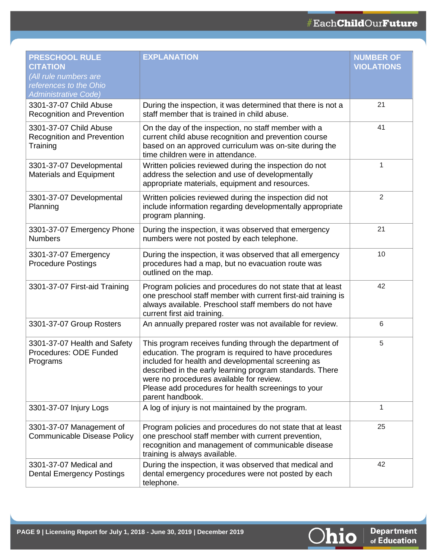| <b>PRESCHOOL RULE</b><br><b>CITATION</b><br>(All rule numbers are<br>references to the Ohio<br><b>Administrative Code)</b> | <b>EXPLANATION</b>                                                                                                                                                                                                                                                                                                                                        | <b>NUMBER OF</b><br><b>VIOLATIONS</b> |
|----------------------------------------------------------------------------------------------------------------------------|-----------------------------------------------------------------------------------------------------------------------------------------------------------------------------------------------------------------------------------------------------------------------------------------------------------------------------------------------------------|---------------------------------------|
| 3301-37-07 Child Abuse<br><b>Recognition and Prevention</b>                                                                | During the inspection, it was determined that there is not a<br>staff member that is trained in child abuse.                                                                                                                                                                                                                                              | 21                                    |
| 3301-37-07 Child Abuse<br><b>Recognition and Prevention</b><br>Training                                                    | On the day of the inspection, no staff member with a<br>current child abuse recognition and prevention course<br>based on an approved curriculum was on-site during the<br>time children were in attendance.                                                                                                                                              | 41                                    |
| 3301-37-07 Developmental<br><b>Materials and Equipment</b>                                                                 | Written policies reviewed during the inspection do not<br>address the selection and use of developmentally<br>appropriate materials, equipment and resources.                                                                                                                                                                                             | 1                                     |
| 3301-37-07 Developmental<br>Planning                                                                                       | Written policies reviewed during the inspection did not<br>include information regarding developmentally appropriate<br>program planning.                                                                                                                                                                                                                 | $\overline{2}$                        |
| 3301-37-07 Emergency Phone<br><b>Numbers</b>                                                                               | During the inspection, it was observed that emergency<br>numbers were not posted by each telephone.                                                                                                                                                                                                                                                       | 21                                    |
| 3301-37-07 Emergency<br><b>Procedure Postings</b>                                                                          | During the inspection, it was observed that all emergency<br>procedures had a map, but no evacuation route was<br>outlined on the map.                                                                                                                                                                                                                    | 10                                    |
| 3301-37-07 First-aid Training                                                                                              | Program policies and procedures do not state that at least<br>one preschool staff member with current first-aid training is<br>always available. Preschool staff members do not have<br>current first aid training.                                                                                                                                       | 42                                    |
| 3301-37-07 Group Rosters                                                                                                   | An annually prepared roster was not available for review.                                                                                                                                                                                                                                                                                                 | $6\phantom{1}6$                       |
| 3301-37-07 Health and Safety<br>Procedures: ODE Funded<br>Programs                                                         | This program receives funding through the department of<br>education. The program is required to have procedures<br>included for health and developmental screening as<br>described in the early learning program standards. There<br>were no procedures available for review.<br>Please add procedures for health screenings to your<br>parent handbook. | 5                                     |
| 3301-37-07 Injury Logs                                                                                                     | A log of injury is not maintained by the program.                                                                                                                                                                                                                                                                                                         | 1                                     |
| 3301-37-07 Management of<br>Communicable Disease Policy                                                                    | Program policies and procedures do not state that at least<br>one preschool staff member with current prevention,<br>recognition and management of communicable disease<br>training is always available.                                                                                                                                                  | 25                                    |
| 3301-37-07 Medical and<br><b>Dental Emergency Postings</b>                                                                 | During the inspection, it was observed that medical and<br>dental emergency procedures were not posted by each<br>telephone.                                                                                                                                                                                                                              | 42                                    |

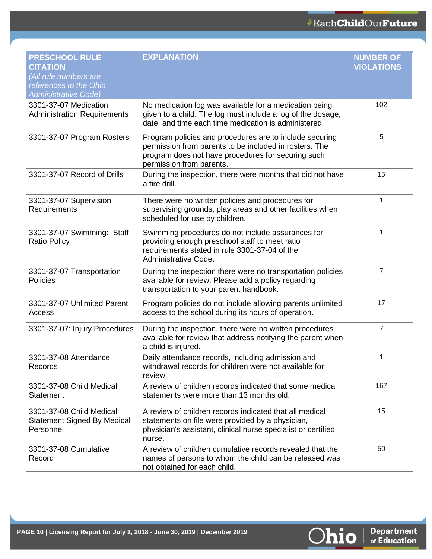| <b>PRESCHOOL RULE</b><br><b>CITATION</b><br>(All rule numbers are<br>references to the Ohio<br><b>Administrative Code)</b> | <b>EXPLANATION</b>                                                                                                                                                                                  | <b>NUMBER OF</b><br><b>VIOLATIONS</b> |
|----------------------------------------------------------------------------------------------------------------------------|-----------------------------------------------------------------------------------------------------------------------------------------------------------------------------------------------------|---------------------------------------|
| 3301-37-07 Medication<br><b>Administration Requirements</b>                                                                | No medication log was available for a medication being<br>given to a child. The log must include a log of the dosage,<br>date, and time each time medication is administered.                       | 102                                   |
| 3301-37-07 Program Rosters                                                                                                 | Program policies and procedures are to include securing<br>permission from parents to be included in rosters. The<br>program does not have procedures for securing such<br>permission from parents. | 5                                     |
| 3301-37-07 Record of Drills                                                                                                | During the inspection, there were months that did not have<br>a fire drill.                                                                                                                         | 15                                    |
| 3301-37-07 Supervision<br>Requirements                                                                                     | There were no written policies and procedures for<br>supervising grounds, play areas and other facilities when<br>scheduled for use by children.                                                    | 1                                     |
| 3301-37-07 Swimming: Staff<br><b>Ratio Policy</b>                                                                          | Swimming procedures do not include assurances for<br>providing enough preschool staff to meet ratio<br>requirements stated in rule 3301-37-04 of the<br>Administrative Code.                        | 1                                     |
| 3301-37-07 Transportation<br>Policies                                                                                      | During the inspection there were no transportation policies<br>available for review. Please add a policy regarding<br>transportation to your parent handbook.                                       | 7                                     |
| 3301-37-07 Unlimited Parent<br>Access                                                                                      | Program policies do not include allowing parents unlimited<br>access to the school during its hours of operation.                                                                                   | 17                                    |
| 3301-37-07: Injury Procedures                                                                                              | During the inspection, there were no written procedures<br>available for review that address notifying the parent when<br>a child is injured.                                                       | $\overline{7}$                        |
| 3301-37-08 Attendance<br>Records                                                                                           | Daily attendance records, including admission and<br>withdrawal records for children were not available for<br>review.                                                                              | 1                                     |
| 3301-37-08 Child Medical<br><b>Statement</b>                                                                               | A review of children records indicated that some medical<br>statements were more than 13 months old.                                                                                                | 167                                   |
| 3301-37-08 Child Medical<br><b>Statement Signed By Medical</b><br>Personnel                                                | A review of children records indicated that all medical<br>statements on file were provided by a physician,<br>physician's assistant, clinical nurse specialist or certified<br>nurse.              | 15                                    |
| 3301-37-08 Cumulative<br>Record                                                                                            | A review of children cumulative records revealed that the<br>names of persons to whom the child can be released was<br>not obtained for each child.                                                 | 50                                    |

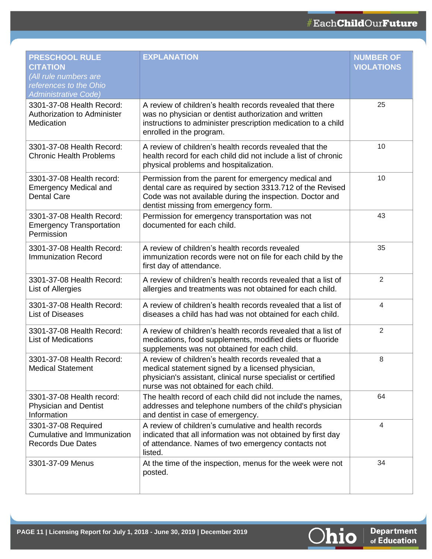| <b>PRESCHOOL RULE</b><br><b>CITATION</b><br>(All rule numbers are<br>references to the Ohio<br><b>Administrative Code)</b> | <b>EXPLANATION</b>                                                                                                                                                                                                     | <b>NUMBER OF</b><br><b>VIOLATIONS</b> |
|----------------------------------------------------------------------------------------------------------------------------|------------------------------------------------------------------------------------------------------------------------------------------------------------------------------------------------------------------------|---------------------------------------|
| 3301-37-08 Health Record:<br><b>Authorization to Administer</b><br>Medication                                              | A review of children's health records revealed that there<br>was no physician or dentist authorization and written<br>instructions to administer prescription medication to a child<br>enrolled in the program.        | 25                                    |
| 3301-37-08 Health Record:<br><b>Chronic Health Problems</b>                                                                | A review of children's health records revealed that the<br>health record for each child did not include a list of chronic<br>physical problems and hospitalization.                                                    | 10                                    |
| 3301-37-08 Health record:<br><b>Emergency Medical and</b><br><b>Dental Care</b>                                            | Permission from the parent for emergency medical and<br>dental care as required by section 3313.712 of the Revised<br>Code was not available during the inspection. Doctor and<br>dentist missing from emergency form. | 10                                    |
| 3301-37-08 Health Record:<br><b>Emergency Transportation</b><br>Permission                                                 | Permission for emergency transportation was not<br>documented for each child.                                                                                                                                          | 43                                    |
| 3301-37-08 Health Record:<br><b>Immunization Record</b>                                                                    | A review of children's health records revealed<br>immunization records were not on file for each child by the<br>first day of attendance.                                                                              | 35                                    |
| 3301-37-08 Health Record:<br>List of Allergies                                                                             | A review of children's health records revealed that a list of<br>allergies and treatments was not obtained for each child.                                                                                             | $\overline{2}$                        |
| 3301-37-08 Health Record:<br><b>List of Diseases</b>                                                                       | A review of children's health records revealed that a list of<br>diseases a child has had was not obtained for each child.                                                                                             | 4                                     |
| 3301-37-08 Health Record:<br><b>List of Medications</b>                                                                    | A review of children's health records revealed that a list of<br>medications, food supplements, modified diets or fluoride<br>supplements was not obtained for each child.                                             | $\overline{2}$                        |
| 3301-37-08 Health Record:<br><b>Medical Statement</b>                                                                      | A review of children's health records revealed that a<br>medical statement signed by a licensed physician,<br>physician's assistant, clinical nurse specialist or certified<br>nurse was not obtained for each child.  | 8                                     |
| 3301-37-08 Health record:<br><b>Physician and Dentist</b><br>Information                                                   | The health record of each child did not include the names,<br>addresses and telephone numbers of the child's physician<br>and dentist in case of emergency.                                                            | 64                                    |
| 3301-37-08 Required<br>Cumulative and Immunization<br><b>Records Due Dates</b>                                             | A review of children's cumulative and health records<br>indicated that all information was not obtained by first day<br>of attendance. Names of two emergency contacts not<br>listed.                                  | $\overline{4}$                        |
| 3301-37-09 Menus                                                                                                           | At the time of the inspection, menus for the week were not<br>posted.                                                                                                                                                  | 34                                    |

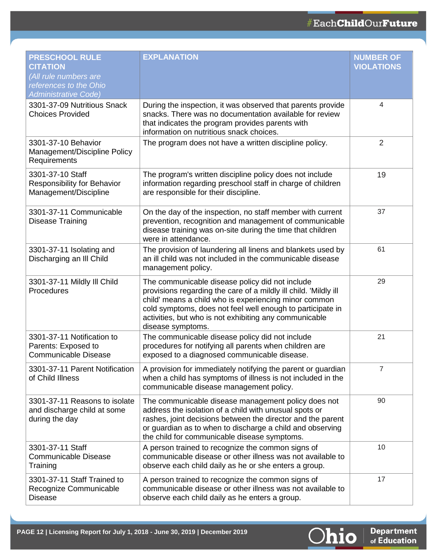| <b>PRESCHOOL RULE</b><br><b>CITATION</b><br>(All rule numbers are<br>references to the Ohio<br><b>Administrative Code)</b> | <b>EXPLANATION</b>                                                                                                                                                                                                                                                                                                        | <b>NUMBER OF</b><br><b>VIOLATIONS</b> |
|----------------------------------------------------------------------------------------------------------------------------|---------------------------------------------------------------------------------------------------------------------------------------------------------------------------------------------------------------------------------------------------------------------------------------------------------------------------|---------------------------------------|
| 3301-37-09 Nutritious Snack<br><b>Choices Provided</b>                                                                     | During the inspection, it was observed that parents provide<br>snacks. There was no documentation available for review<br>that indicates the program provides parents with<br>information on nutritious snack choices.                                                                                                    | 4                                     |
| 3301-37-10 Behavior<br>Management/Discipline Policy<br>Requirements                                                        | The program does not have a written discipline policy.                                                                                                                                                                                                                                                                    | $\overline{2}$                        |
| 3301-37-10 Staff<br>Responsibility for Behavior<br>Management/Discipline                                                   | The program's written discipline policy does not include<br>information regarding preschool staff in charge of children<br>are responsible for their discipline.                                                                                                                                                          | 19                                    |
| 3301-37-11 Communicable<br><b>Disease Training</b>                                                                         | On the day of the inspection, no staff member with current<br>prevention, recognition and management of communicable<br>disease training was on-site during the time that children<br>were in attendance.                                                                                                                 | 37                                    |
| 3301-37-11 Isolating and<br>Discharging an III Child                                                                       | The provision of laundering all linens and blankets used by<br>an ill child was not included in the communicable disease<br>management policy.                                                                                                                                                                            | 61                                    |
| 3301-37-11 Mildly III Child<br>Procedures                                                                                  | The communicable disease policy did not include<br>provisions regarding the care of a mildly ill child. 'Mildly ill<br>child' means a child who is experiencing minor common<br>cold symptoms, does not feel well enough to participate in<br>activities, but who is not exhibiting any communicable<br>disease symptoms. | 29                                    |
| 3301-37-11 Notification to<br>Parents: Exposed to<br><b>Communicable Disease</b>                                           | The communicable disease policy did not include<br>procedures for notifying all parents when children are<br>exposed to a diagnosed communicable disease.                                                                                                                                                                 | 21                                    |
| 3301-37-11 Parent Notification<br>of Child Illness                                                                         | A provision for immediately notifying the parent or guardian<br>when a child has symptoms of illness is not included in the<br>communicable disease management policy.                                                                                                                                                    |                                       |
| 3301-37-11 Reasons to isolate<br>and discharge child at some<br>during the day                                             | The communicable disease management policy does not<br>address the isolation of a child with unusual spots or<br>rashes, joint decisions between the director and the parent<br>or guardian as to when to discharge a child and observing<br>the child for communicable disease symptoms.                                 | 90                                    |
| 3301-37-11 Staff<br><b>Communicable Disease</b><br>Training                                                                | A person trained to recognize the common signs of<br>communicable disease or other illness was not available to<br>observe each child daily as he or she enters a group.                                                                                                                                                  | 10                                    |
| 3301-37-11 Staff Trained to<br>Recognize Communicable<br><b>Disease</b>                                                    | A person trained to recognize the common signs of<br>communicable disease or other illness was not available to<br>observe each child daily as he enters a group.                                                                                                                                                         | 17                                    |

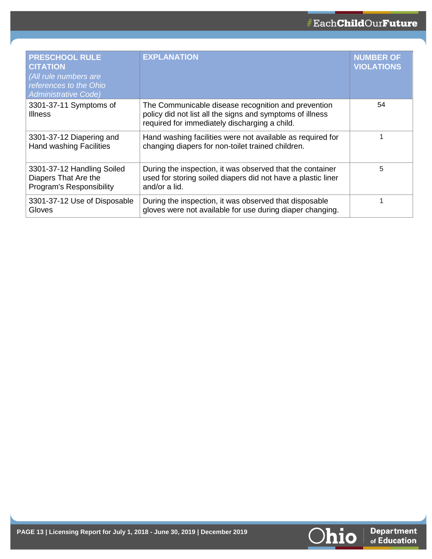| <b>PRESCHOOL RULE</b><br><b>CITATION</b><br>(All rule numbers are<br>references to the Ohio<br><b>Administrative Code)</b> | <b>EXPLANATION</b>                                                                                                                                                | <b>NUMBER OF</b><br>VIOLATIONS |
|----------------------------------------------------------------------------------------------------------------------------|-------------------------------------------------------------------------------------------------------------------------------------------------------------------|--------------------------------|
| 3301-37-11 Symptoms of<br><b>Illness</b>                                                                                   | The Communicable disease recognition and prevention<br>policy did not list all the signs and symptoms of illness<br>required for immediately discharging a child. | 54                             |
| 3301-37-12 Diapering and<br><b>Hand washing Facilities</b>                                                                 | Hand washing facilities were not available as required for<br>changing diapers for non-toilet trained children.                                                   |                                |
| 3301-37-12 Handling Soiled<br>Diapers That Are the<br>Program's Responsibility                                             | During the inspection, it was observed that the container<br>used for storing soiled diapers did not have a plastic liner<br>and/or a lid.                        | 5                              |
| 3301-37-12 Use of Disposable<br>Gloves                                                                                     | During the inspection, it was observed that disposable<br>gloves were not available for use during diaper changing.                                               |                                |

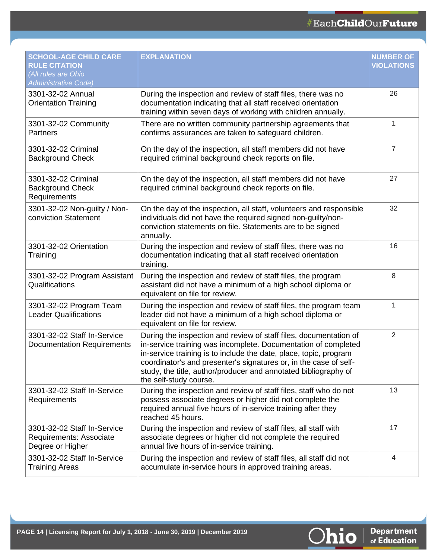| <b>SCHOOL-AGE CHILD CARE</b><br><b>RULE CITATION</b><br>(All rules are Ohio<br>Administrative Code) | <b>EXPLANATION</b>                                                                                                                                                                                                                                                                                                                                                         | <b>NUMBER OF</b><br><b>VIOLATIONS</b> |
|-----------------------------------------------------------------------------------------------------|----------------------------------------------------------------------------------------------------------------------------------------------------------------------------------------------------------------------------------------------------------------------------------------------------------------------------------------------------------------------------|---------------------------------------|
| 3301-32-02 Annual<br><b>Orientation Training</b>                                                    | During the inspection and review of staff files, there was no<br>documentation indicating that all staff received orientation<br>training within seven days of working with children annually.                                                                                                                                                                             | 26                                    |
| 3301-32-02 Community<br>Partners                                                                    | There are no written community partnership agreements that<br>confirms assurances are taken to safeguard children.                                                                                                                                                                                                                                                         | 1                                     |
| 3301-32-02 Criminal<br><b>Background Check</b>                                                      | On the day of the inspection, all staff members did not have<br>required criminal background check reports on file.                                                                                                                                                                                                                                                        | $\overline{7}$                        |
| 3301-32-02 Criminal<br><b>Background Check</b><br>Requirements                                      | On the day of the inspection, all staff members did not have<br>required criminal background check reports on file.                                                                                                                                                                                                                                                        | 27                                    |
| 3301-32-02 Non-guilty / Non-<br>conviction Statement                                                | On the day of the inspection, all staff, volunteers and responsible<br>individuals did not have the required signed non-guilty/non-<br>conviction statements on file. Statements are to be signed<br>annually.                                                                                                                                                             | 32                                    |
| 3301-32-02 Orientation<br>Training                                                                  | During the inspection and review of staff files, there was no<br>documentation indicating that all staff received orientation<br>training.                                                                                                                                                                                                                                 | 16                                    |
| 3301-32-02 Program Assistant<br>Qualifications                                                      | During the inspection and review of staff files, the program<br>assistant did not have a minimum of a high school diploma or<br>equivalent on file for review.                                                                                                                                                                                                             | 8                                     |
| 3301-32-02 Program Team<br><b>Leader Qualifications</b>                                             | During the inspection and review of staff files, the program team<br>leader did not have a minimum of a high school diploma or<br>equivalent on file for review.                                                                                                                                                                                                           | 1                                     |
| 3301-32-02 Staff In-Service<br><b>Documentation Requirements</b>                                    | During the inspection and review of staff files, documentation of<br>in-service training was incomplete. Documentation of completed<br>in-service training is to include the date, place, topic, program<br>coordinator's and presenter's signatures or, in the case of self-<br>study, the title, author/producer and annotated bibliography of<br>the self-study course. | 2                                     |
| 3301-32-02 Staff In-Service<br>Requirements                                                         | During the inspection and review of staff files, staff who do not<br>possess associate degrees or higher did not complete the<br>required annual five hours of in-service training after they<br>reached 45 hours.                                                                                                                                                         | 13                                    |
| 3301-32-02 Staff In-Service<br>Requirements: Associate<br>Degree or Higher                          | During the inspection and review of staff files, all staff with<br>associate degrees or higher did not complete the required<br>annual five hours of in-service training.                                                                                                                                                                                                  | 17                                    |
| 3301-32-02 Staff In-Service<br><b>Training Areas</b>                                                | During the inspection and review of staff files, all staff did not<br>accumulate in-service hours in approved training areas.                                                                                                                                                                                                                                              | 4                                     |

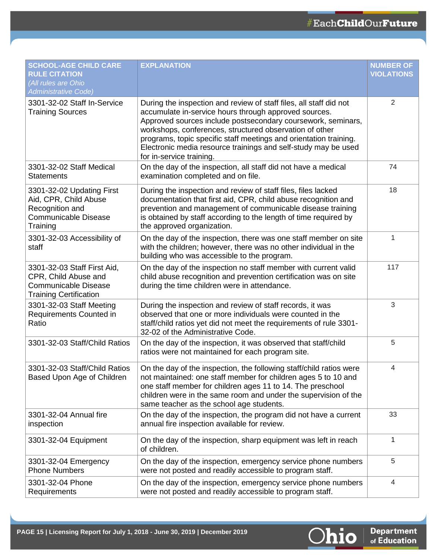| <b>SCHOOL-AGE CHILD CARE</b><br><b>RULE CITATION</b><br>(All rules are Ohio<br><b>Administrative Code)</b>          | <b>EXPLANATION</b>                                                                                                                                                                                                                                                                                                                                                                                                        | <b>NUMBER OF</b><br><b>VIOLATIONS</b> |
|---------------------------------------------------------------------------------------------------------------------|---------------------------------------------------------------------------------------------------------------------------------------------------------------------------------------------------------------------------------------------------------------------------------------------------------------------------------------------------------------------------------------------------------------------------|---------------------------------------|
| 3301-32-02 Staff In-Service<br><b>Training Sources</b>                                                              | During the inspection and review of staff files, all staff did not<br>accumulate in-service hours through approved sources.<br>Approved sources include postsecondary coursework, seminars,<br>workshops, conferences, structured observation of other<br>programs, topic specific staff meetings and orientation training.<br>Electronic media resource trainings and self-study may be used<br>for in-service training. | 2                                     |
| 3301-32-02 Staff Medical<br><b>Statements</b>                                                                       | On the day of the inspection, all staff did not have a medical<br>examination completed and on file.                                                                                                                                                                                                                                                                                                                      | 74                                    |
| 3301-32-02 Updating First<br>Aid, CPR, Child Abuse<br>Recognition and<br><b>Communicable Disease</b><br>Training    | During the inspection and review of staff files, files lacked<br>documentation that first aid, CPR, child abuse recognition and<br>prevention and management of communicable disease training<br>is obtained by staff according to the length of time required by<br>the approved organization.                                                                                                                           | 18                                    |
| 3301-32-03 Accessibility of<br>staff                                                                                | On the day of the inspection, there was one staff member on site<br>with the children; however, there was no other individual in the<br>building who was accessible to the program.                                                                                                                                                                                                                                       | 1                                     |
| 3301-32-03 Staff First Aid,<br>CPR, Child Abuse and<br><b>Communicable Disease</b><br><b>Training Certification</b> | On the day of the inspection no staff member with current valid<br>child abuse recognition and prevention certification was on site<br>during the time children were in attendance.                                                                                                                                                                                                                                       | 117                                   |
| 3301-32-03 Staff Meeting<br>Requirements Counted in<br>Ratio                                                        | During the inspection and review of staff records, it was<br>observed that one or more individuals were counted in the<br>staff/child ratios yet did not meet the requirements of rule 3301-<br>32-02 of the Administrative Code.                                                                                                                                                                                         | 3                                     |
| 3301-32-03 Staff/Child Ratios                                                                                       | On the day of the inspection, it was observed that staff/child<br>ratios were not maintained for each program site.                                                                                                                                                                                                                                                                                                       | 5                                     |
| 3301-32-03 Staff/Child Ratios<br>Based Upon Age of Children                                                         | On the day of the inspection, the following staff/child ratios were<br>not maintained: one staff member for children ages 5 to 10 and<br>one staff member for children ages 11 to 14. The preschool<br>children were in the same room and under the supervision of the<br>same teacher as the school age students.                                                                                                        | 4                                     |
| 3301-32-04 Annual fire<br>inspection                                                                                | On the day of the inspection, the program did not have a current<br>annual fire inspection available for review.                                                                                                                                                                                                                                                                                                          | 33                                    |
| 3301-32-04 Equipment                                                                                                | On the day of the inspection, sharp equipment was left in reach<br>of children.                                                                                                                                                                                                                                                                                                                                           | 1                                     |
| 3301-32-04 Emergency<br><b>Phone Numbers</b>                                                                        | On the day of the inspection, emergency service phone numbers<br>were not posted and readily accessible to program staff.                                                                                                                                                                                                                                                                                                 | 5                                     |
| 3301-32-04 Phone<br>Requirements                                                                                    | On the day of the inspection, emergency service phone numbers<br>were not posted and readily accessible to program staff.                                                                                                                                                                                                                                                                                                 | 4                                     |

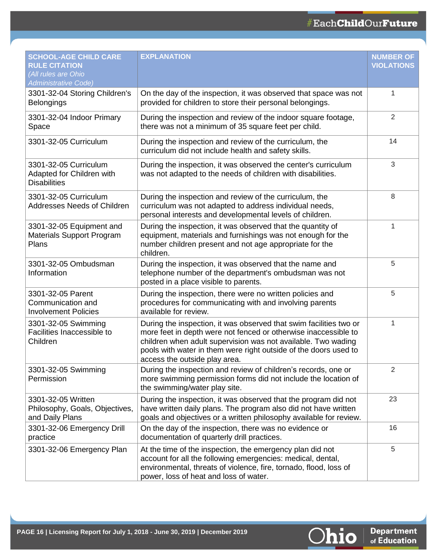| <b>SCHOOL-AGE CHILD CARE</b><br><b>RULE CITATION</b>                      | <b>EXPLANATION</b>                                                                                                                                                                                                                                                                                          | <b>NUMBER OF</b><br><b>VIOLATIONS</b> |
|---------------------------------------------------------------------------|-------------------------------------------------------------------------------------------------------------------------------------------------------------------------------------------------------------------------------------------------------------------------------------------------------------|---------------------------------------|
| (All rules are Ohio<br><b>Administrative Code)</b>                        |                                                                                                                                                                                                                                                                                                             |                                       |
| 3301-32-04 Storing Children's<br><b>Belongings</b>                        | On the day of the inspection, it was observed that space was not<br>provided for children to store their personal belongings.                                                                                                                                                                               | 1                                     |
| 3301-32-04 Indoor Primary<br>Space                                        | During the inspection and review of the indoor square footage,<br>there was not a minimum of 35 square feet per child.                                                                                                                                                                                      | $\overline{2}$                        |
| 3301-32-05 Curriculum                                                     | During the inspection and review of the curriculum, the<br>curriculum did not include health and safety skills.                                                                                                                                                                                             | 14                                    |
| 3301-32-05 Curriculum<br>Adapted for Children with<br><b>Disabilities</b> | During the inspection, it was observed the center's curriculum<br>was not adapted to the needs of children with disabilities.                                                                                                                                                                               | 3                                     |
| 3301-32-05 Curriculum<br>Addresses Needs of Children                      | During the inspection and review of the curriculum, the<br>curriculum was not adapted to address individual needs,<br>personal interests and developmental levels of children.                                                                                                                              | 8                                     |
| 3301-32-05 Equipment and<br>Materials Support Program<br>Plans            | During the inspection, it was observed that the quantity of<br>equipment, materials and furnishings was not enough for the<br>number children present and not age appropriate for the<br>children.                                                                                                          | 1                                     |
| 3301-32-05 Ombudsman<br>Information                                       | During the inspection, it was observed that the name and<br>telephone number of the department's ombudsman was not<br>posted in a place visible to parents.                                                                                                                                                 | 5                                     |
| 3301-32-05 Parent<br>Communication and<br><b>Involvement Policies</b>     | During the inspection, there were no written policies and<br>procedures for communicating with and involving parents<br>available for review.                                                                                                                                                               | 5                                     |
| 3301-32-05 Swimming<br>Facilities Inaccessible to<br>Children             | During the inspection, it was observed that swim facilities two or<br>more feet in depth were not fenced or otherwise inaccessible to<br>children when adult supervision was not available. Two wading<br>pools with water in them were right outside of the doors used to<br>access the outside play area. | 1                                     |
| 3301-32-05 Swimming<br>Permission                                         | During the inspection and review of children's records, one or<br>more swimming permission forms did not include the location of<br>the swimming/water play site.                                                                                                                                           | 2                                     |
| 3301-32-05 Written<br>Philosophy, Goals, Objectives,<br>and Daily Plans   | During the inspection, it was observed that the program did not<br>have written daily plans. The program also did not have written<br>goals and objectives or a written philosophy available for review.                                                                                                    | 23                                    |
| 3301-32-06 Emergency Drill<br>practice                                    | On the day of the inspection, there was no evidence or<br>documentation of quarterly drill practices.                                                                                                                                                                                                       | 16                                    |
| 3301-32-06 Emergency Plan                                                 | At the time of the inspection, the emergency plan did not<br>account for all the following emergencies: medical, dental,<br>environmental, threats of violence, fire, tornado, flood, loss of<br>power, loss of heat and loss of water.                                                                     | 5                                     |

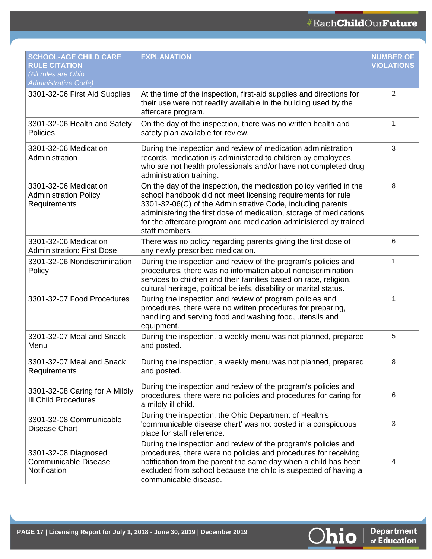| <b>SCHOOL-AGE CHILD CARE</b><br><b>RULE CITATION</b><br>(All rules are Ohio<br><b>Administrative Code)</b> | <b>EXPLANATION</b>                                                                                                                                                                                                                                                                                                                                             | <b>NUMBER OF</b><br><b>VIOLATIONS</b> |
|------------------------------------------------------------------------------------------------------------|----------------------------------------------------------------------------------------------------------------------------------------------------------------------------------------------------------------------------------------------------------------------------------------------------------------------------------------------------------------|---------------------------------------|
| 3301-32-06 First Aid Supplies                                                                              | At the time of the inspection, first-aid supplies and directions for<br>their use were not readily available in the building used by the<br>aftercare program.                                                                                                                                                                                                 | 2                                     |
| 3301-32-06 Health and Safety<br>Policies                                                                   | On the day of the inspection, there was no written health and<br>safety plan available for review.                                                                                                                                                                                                                                                             | 1                                     |
| 3301-32-06 Medication<br>Administration                                                                    | During the inspection and review of medication administration<br>records, medication is administered to children by employees<br>who are not health professionals and/or have not completed drug<br>administration training.                                                                                                                                   | 3                                     |
| 3301-32-06 Medication<br><b>Administration Policy</b><br>Requirements                                      | On the day of the inspection, the medication policy verified in the<br>school handbook did not meet licensing requirements for rule<br>3301-32-06(C) of the Administrative Code, including parents<br>administering the first dose of medication, storage of medications<br>for the aftercare program and medication administered by trained<br>staff members. | 8                                     |
| 3301-32-06 Medication<br><b>Administration: First Dose</b>                                                 | There was no policy regarding parents giving the first dose of<br>any newly prescribed medication.                                                                                                                                                                                                                                                             | 6                                     |
| 3301-32-06 Nondiscrimination<br>Policy                                                                     | During the inspection and review of the program's policies and<br>procedures, there was no information about nondiscrimination<br>services to children and their families based on race, religion,<br>cultural heritage, political beliefs, disability or marital status.                                                                                      | 1                                     |
| 3301-32-07 Food Procedures                                                                                 | During the inspection and review of program policies and<br>procedures, there were no written procedures for preparing,<br>handling and serving food and washing food, utensils and<br>equipment.                                                                                                                                                              | 1                                     |
| 3301-32-07 Meal and Snack<br>Menu                                                                          | During the inspection, a weekly menu was not planned, prepared<br>and posted.                                                                                                                                                                                                                                                                                  | 5                                     |
| 3301-32-07 Meal and Snack<br>Requirements                                                                  | During the inspection, a weekly menu was not planned, prepared<br>and posted.                                                                                                                                                                                                                                                                                  | 8                                     |
| 3301-32-08 Caring for A Mildly<br><b>III Child Procedures</b>                                              | During the inspection and review of the program's policies and<br>procedures, there were no policies and procedures for caring for<br>a mildly ill child.                                                                                                                                                                                                      | 6                                     |
| 3301-32-08 Communicable<br><b>Disease Chart</b>                                                            | During the inspection, the Ohio Department of Health's<br>'communicable disease chart' was not posted in a conspicuous<br>place for staff reference.                                                                                                                                                                                                           | 3                                     |
| 3301-32-08 Diagnosed<br><b>Communicable Disease</b><br>Notification                                        | During the inspection and review of the program's policies and<br>procedures, there were no policies and procedures for receiving<br>notification from the parent the same day when a child has been<br>excluded from school because the child is suspected of having a<br>communicable disease.                                                               | 4                                     |

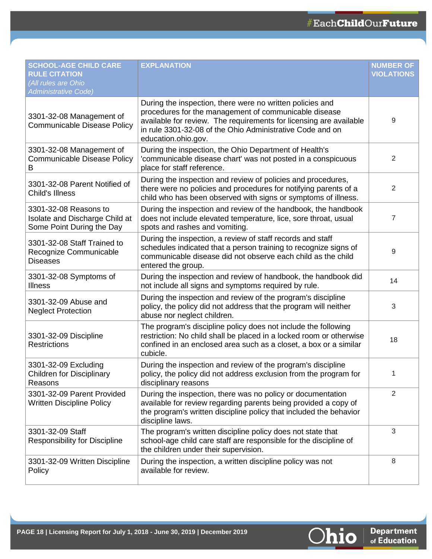| <b>SCHOOL-AGE CHILD CARE</b><br><b>RULE CITATION</b>                                 | <b>EXPLANATION</b>                                                                                                                                                                                                                                                           | <b>NUMBER OF</b><br><b>VIOLATIONS</b> |
|--------------------------------------------------------------------------------------|------------------------------------------------------------------------------------------------------------------------------------------------------------------------------------------------------------------------------------------------------------------------------|---------------------------------------|
| All rules are Ohio<br><b>Administrative Code)</b>                                    |                                                                                                                                                                                                                                                                              |                                       |
| 3301-32-08 Management of<br><b>Communicable Disease Policy</b>                       | During the inspection, there were no written policies and<br>procedures for the management of communicable disease<br>available for review. The requirements for licensing are available<br>in rule 3301-32-08 of the Ohio Administrative Code and on<br>education.ohio.gov. | 9                                     |
| 3301-32-08 Management of<br><b>Communicable Disease Policy</b><br>B                  | During the inspection, the Ohio Department of Health's<br>'communicable disease chart' was not posted in a conspicuous<br>place for staff reference.                                                                                                                         | 2                                     |
| 3301-32-08 Parent Notified of<br><b>Child's Illness</b>                              | During the inspection and review of policies and procedures,<br>there were no policies and procedures for notifying parents of a<br>child who has been observed with signs or symptoms of illness.                                                                           | 2                                     |
| 3301-32-08 Reasons to<br>Isolate and Discharge Child at<br>Some Point During the Day | During the inspection and review of the handbook, the handbook<br>does not include elevated temperature, lice, sore throat, usual<br>spots and rashes and vomiting.                                                                                                          | 7                                     |
| 3301-32-08 Staff Trained to<br>Recognize Communicable<br><b>Diseases</b>             | During the inspection, a review of staff records and staff<br>schedules indicated that a person training to recognize signs of<br>communicable disease did not observe each child as the child<br>entered the group.                                                         | 9                                     |
| 3301-32-08 Symptoms of<br><b>Illness</b>                                             | During the inspection and review of handbook, the handbook did<br>not include all signs and symptoms required by rule.                                                                                                                                                       | 14                                    |
| 3301-32-09 Abuse and<br><b>Neglect Protection</b>                                    | During the inspection and review of the program's discipline<br>policy, the policy did not address that the program will neither<br>abuse nor neglect children.                                                                                                              | 3                                     |
| 3301-32-09 Discipline<br><b>Restrictions</b>                                         | The program's discipline policy does not include the following<br>restriction: No child shall be placed in a locked room or otherwise<br>confined in an enclosed area such as a closet, a box or a similar<br>cubicle.                                                       | 18                                    |
| 3301-32-09 Excluding<br><b>Children for Disciplinary</b><br>Reasons                  | During the inspection and review of the program's discipline<br>policy, the policy did not address exclusion from the program for<br>disciplinary reasons                                                                                                                    | 1                                     |
| 3301-32-09 Parent Provided<br><b>Written Discipline Policy</b>                       | During the inspection, there was no policy or documentation<br>available for review regarding parents being provided a copy of<br>the program's written discipline policy that included the behavior<br>discipline laws.                                                     | 2                                     |
| 3301-32-09 Staff<br><b>Responsibility for Discipline</b>                             | The program's written discipline policy does not state that<br>school-age child care staff are responsible for the discipline of<br>the children under their supervision.                                                                                                    | $\sqrt{3}$                            |
| 3301-32-09 Written Discipline<br>Policy                                              | During the inspection, a written discipline policy was not<br>available for review.                                                                                                                                                                                          | 8                                     |

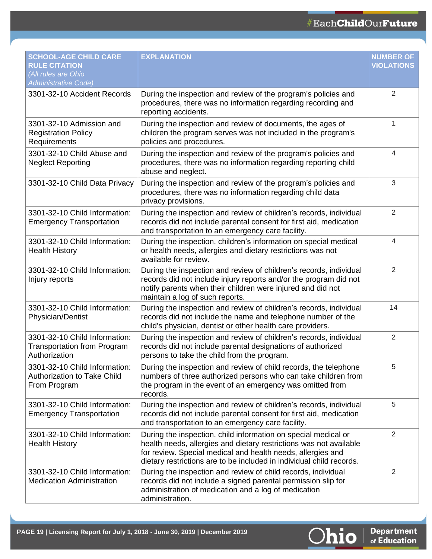| <b>SCHOOL-AGE CHILD CARE</b><br><b>RULE CITATION</b><br>(All rules are Ohio<br><b>Administrative Code)</b> | <b>EXPLANATION</b>                                                                                                                                                                                                                                                          | <b>NUMBER OF</b><br><b>VIOLATIONS</b> |
|------------------------------------------------------------------------------------------------------------|-----------------------------------------------------------------------------------------------------------------------------------------------------------------------------------------------------------------------------------------------------------------------------|---------------------------------------|
| 3301-32-10 Accident Records                                                                                | During the inspection and review of the program's policies and<br>procedures, there was no information regarding recording and<br>reporting accidents.                                                                                                                      | 2                                     |
| 3301-32-10 Admission and<br><b>Registration Policy</b><br>Requirements                                     | During the inspection and review of documents, the ages of<br>children the program serves was not included in the program's<br>policies and procedures.                                                                                                                     | $\mathbf 1$                           |
| 3301-32-10 Child Abuse and<br><b>Neglect Reporting</b>                                                     | During the inspection and review of the program's policies and<br>procedures, there was no information regarding reporting child<br>abuse and neglect.                                                                                                                      | 4                                     |
| 3301-32-10 Child Data Privacy                                                                              | During the inspection and review of the program's policies and<br>procedures, there was no information regarding child data<br>privacy provisions.                                                                                                                          | 3                                     |
| 3301-32-10 Child Information:<br><b>Emergency Transportation</b>                                           | During the inspection and review of children's records, individual<br>records did not include parental consent for first aid, medication<br>and transportation to an emergency care facility.                                                                               | 2                                     |
| 3301-32-10 Child Information:<br><b>Health History</b>                                                     | During the inspection, children's information on special medical<br>or health needs, allergies and dietary restrictions was not<br>available for review.                                                                                                                    | 4                                     |
| 3301-32-10 Child Information:<br>Injury reports                                                            | During the inspection and review of children's records, individual<br>records did not include injury reports and/or the program did not<br>notify parents when their children were injured and did not<br>maintain a log of such reports.                                   | 2                                     |
| 3301-32-10 Child Information:<br><b>Physician/Dentist</b>                                                  | During the inspection and review of children's records, individual<br>records did not include the name and telephone number of the<br>child's physician, dentist or other health care providers.                                                                            | 14                                    |
| 3301-32-10 Child Information:<br><b>Transportation from Program</b><br>Authorization                       | During the inspection and review of children's records, individual<br>records did not include parental designations of authorized<br>persons to take the child from the program.                                                                                            | 2                                     |
| 3301-32-10 Child Information:<br><b>Authorization to Take Child</b><br>From Program                        | During the inspection and review of child records, the telephone<br>numbers of three authorized persons who can take children from<br>the program in the event of an emergency was omitted from<br>records.                                                                 | 5                                     |
| 3301-32-10 Child Information:<br><b>Emergency Transportation</b>                                           | During the inspection and review of children's records, individual<br>records did not include parental consent for first aid, medication<br>and transportation to an emergency care facility.                                                                               | 5                                     |
| 3301-32-10 Child Information:<br><b>Health History</b>                                                     | During the inspection, child information on special medical or<br>health needs, allergies and dietary restrictions was not available<br>for review. Special medical and health needs, allergies and<br>dietary restrictions are to be included in individual child records. | 2                                     |
| 3301-32-10 Child Information:<br><b>Medication Administration</b>                                          | During the inspection and review of child records, individual<br>records did not include a signed parental permission slip for<br>administration of medication and a log of medication<br>administration.                                                                   | $\overline{2}$                        |

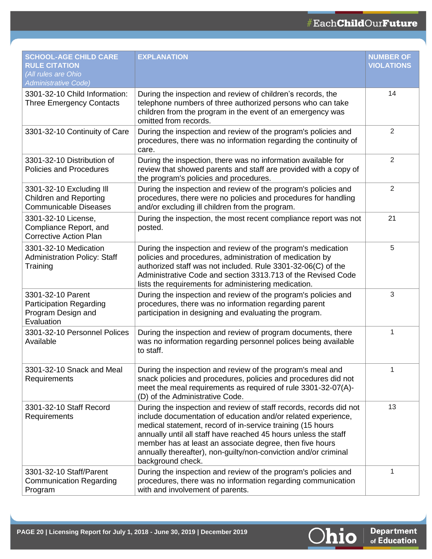| <b>SCHOOL-AGE CHILD CARE</b><br><b>RULE CITATION</b><br>(All rules are Ohio<br><b>Administrative Code)</b> | <b>EXPLANATION</b>                                                                                                                                                                                                                                                                                                                                                                                                       | <b>NUMBER OF</b><br><b>VIOLATIONS</b> |
|------------------------------------------------------------------------------------------------------------|--------------------------------------------------------------------------------------------------------------------------------------------------------------------------------------------------------------------------------------------------------------------------------------------------------------------------------------------------------------------------------------------------------------------------|---------------------------------------|
| 3301-32-10 Child Information:<br><b>Three Emergency Contacts</b>                                           | During the inspection and review of children's records, the<br>telephone numbers of three authorized persons who can take<br>children from the program in the event of an emergency was<br>omitted from records.                                                                                                                                                                                                         | 14                                    |
| 3301-32-10 Continuity of Care                                                                              | During the inspection and review of the program's policies and<br>procedures, there was no information regarding the continuity of<br>care.                                                                                                                                                                                                                                                                              | 2                                     |
| 3301-32-10 Distribution of<br><b>Policies and Procedures</b>                                               | During the inspection, there was no information available for<br>review that showed parents and staff are provided with a copy of<br>the program's policies and procedures.                                                                                                                                                                                                                                              | 2                                     |
| 3301-32-10 Excluding III<br><b>Children and Reporting</b><br><b>Communicable Diseases</b>                  | During the inspection and review of the program's policies and<br>procedures, there were no policies and procedures for handling<br>and/or excluding ill children from the program.                                                                                                                                                                                                                                      | 2                                     |
| 3301-32-10 License,<br>Compliance Report, and<br><b>Corrective Action Plan</b>                             | During the inspection, the most recent compliance report was not<br>posted.                                                                                                                                                                                                                                                                                                                                              | 21                                    |
| 3301-32-10 Medication<br><b>Administration Policy: Staff</b><br>Training                                   | During the inspection and review of the program's medication<br>policies and procedures, administration of medication by<br>authorized staff was not included. Rule 3301-32-06(C) of the<br>Administrative Code and section 3313.713 of the Revised Code<br>lists the requirements for administering medication.                                                                                                         | 5                                     |
| 3301-32-10 Parent<br><b>Participation Regarding</b><br>Program Design and<br>Evaluation                    | During the inspection and review of the program's policies and<br>procedures, there was no information regarding parent<br>participation in designing and evaluating the program.                                                                                                                                                                                                                                        | 3                                     |
| 3301-32-10 Personnel Polices<br>Available                                                                  | During the inspection and review of program documents, there<br>was no information regarding personnel polices being available<br>to staff.                                                                                                                                                                                                                                                                              | 1                                     |
| 3301-32-10 Snack and Meal<br>Requirements                                                                  | During the inspection and review of the program's meal and<br>snack policies and procedures, policies and procedures did not<br>meet the meal requirements as required of rule 3301-32-07(A)-<br>(D) of the Administrative Code.                                                                                                                                                                                         | 1                                     |
| 3301-32-10 Staff Record<br>Requirements                                                                    | During the inspection and review of staff records, records did not<br>include documentation of education and/or related experience,<br>medical statement, record of in-service training (15 hours<br>annually until all staff have reached 45 hours unless the staff<br>member has at least an associate degree, then five hours<br>annually thereafter), non-guilty/non-conviction and/or criminal<br>background check. | 13                                    |
| 3301-32-10 Staff/Parent<br><b>Communication Regarding</b><br>Program                                       | During the inspection and review of the program's policies and<br>procedures, there was no information regarding communication<br>with and involvement of parents.                                                                                                                                                                                                                                                       | 1                                     |